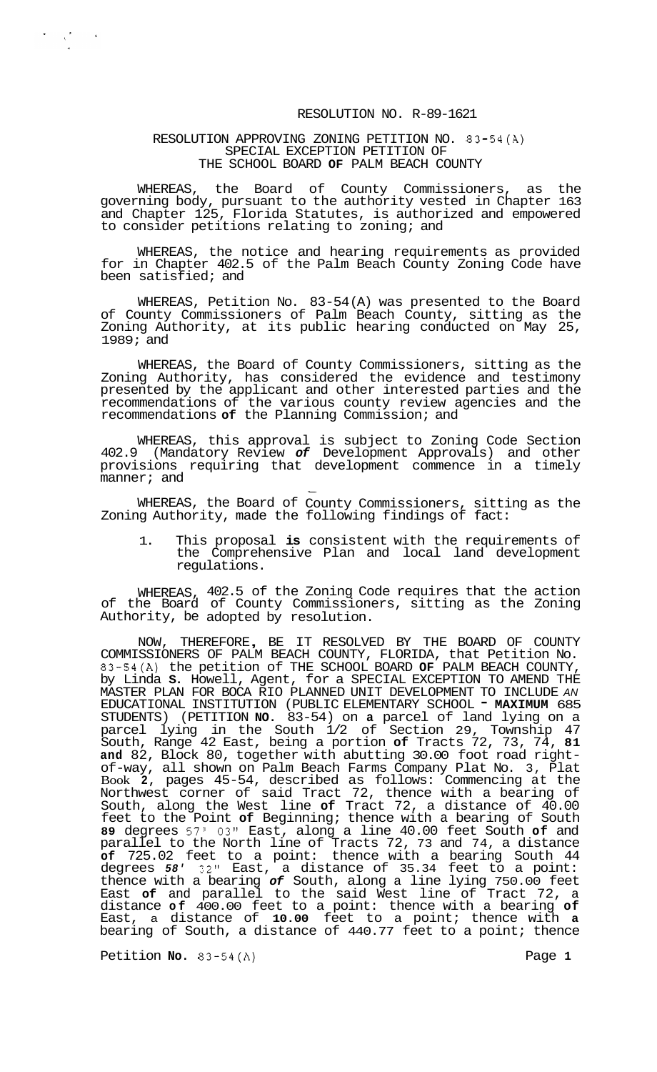## RESOLUTION NO. R-89-1621

## RESOLUTION APPROVING ZONING PETITION NO. 83-54(A) SPECIAL EXCEPTION PETITION OF THE SCHOOL BOARD **OF** PALM BEACH COUNTY

 $\sum_{i=1}^n \frac{1}{\lambda_i} \sum_{j=1}^n \frac{1}{\lambda_j} \sum_{j=1}^n \frac{1}{\lambda_j}$ 

WHEREAS, the Board of County Commissioners, as the governing body, pursuant to the authority vested in Chapter 163 and Chapter 125, Florida Statutes, is authorized and empowered to consider petitions relating to zoning; and

WHEREAS, the notice and hearing requirements as provided for in Chapter 402.5 of the Palm Beach County Zoning Code have been satisfied; and

WHEREAS, Petition No. 83-54 (A) was presented to the Board of County Commissioners of Palm Beach County, sitting as the Zoning Authority, at its public hearing conducted on May 25, 1989; and

WHEREAS, the Board of County Commissioners, sitting as the Zoning Authority, has considered the evidence and testimony presented by the applicant and other interested parties and the recommendations of the various county review agencies and the recommendations **of** the Planning Commission; and

WHEREAS, this approval is subject to Zoning Code Section 402.9 (Mandatory Review *of* Development Approvals) and other provisions requiring that development commence in a timely manner; and

WHEREAS, the Board of Zoning Authority, made the County Commissioners, sitting as the following findings of fact:

1. This proposal **is**  consistent with the requirements of the Comprehensive Plan and local land development regulations.

WHEREAS, 402.5 of the Zoning Code requires that the action of the Board of County Commissioners, sitting as the Zoning Authority, be adopted by resolution.

NOW, THEREFORE, BE IT RESOLVED BY THE BOARD OF COUNTY COMMISSIONERS OF PALM BEACH COUNTY, FLORIDA, that Petition No. 83-54(A) the petition of THE SCHOOL BOARD **OF** PALM BEACH COUNTY, by Linda **S.** Howell, Agent, for a SPECIAL EXCEPTION TO AMEND THE MASTER PLAN FOR BOCA RIO PLANNED UNIT DEVELOPMENT TO INCLUDE *AN*  EDUCATIONAL INSTITUTION (PUBLIC ELEMENTARY SCHOOL - **MAXIMUM** <sup>685</sup> STUDENTS) (PETITION **NO.** 83-54) on **a** parcel of land lying on a parcel lying in the South 1/2 of Section 29, Township 47 South, Range 42 East, being a portion **of** Tracts 72, 73, 74, **81 and** 82, Block 80, together with abutting 30.00 foot road right- of-way, all shown on Palm Beach Farms Company Plat No. 3, Plat Book **2,** pages 45-54, described as follows: Commencing at the Northwest corner of said Tract 72, thence with a bearing of South, along the West line **of** Tract 72, a distance of 40.00 feet to the Point **of** Beginning; thence with a bearing of South **89** degrees 57' 03" East, along a line 40.00 feet South **of** and parallel to the North line of Tracts 72, 73 and 74, a distance **of** 725.02 feet to a point: thence with a bearing South 44 degrees *58'* 32" East, a distance of 35.34 feet to a point: thence with a bearing *of* South, along a line lying 750.00 feet East **of** and parallel to the said West line of Tract 72, a distance **of** 400.00 feet to a point: thence with a bearing **of**  East, a distance of **10.00** feet to a point; thence with **a**  bearing of South, a distance of 440.77 feet to a point; thence

Petition **No.** 83-54(A) Page **1**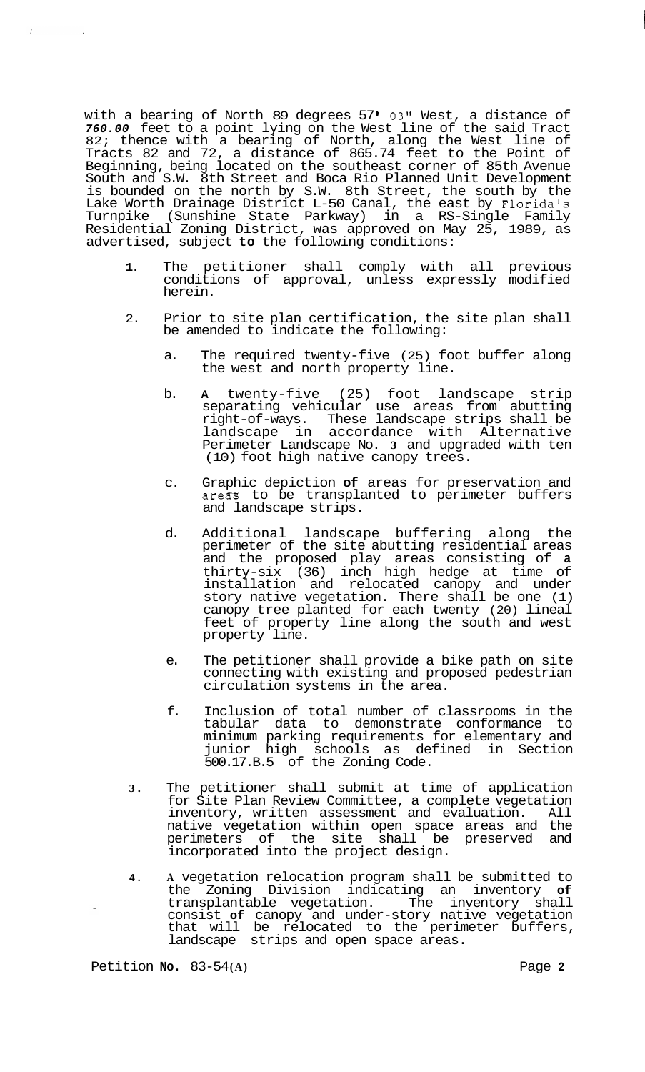with a bearing of North 89 degrees 57 **I 03"** West, a distance of *760.00* feet to a point lying on the West line of the said Tract 82; thence with a bearing of North, along the West line of Tracts 82 and 72, a distance of 865.74 feet to the Point of Beginning, being located on the southeast corner of 85th Avenue South and S.W. 8th Street and Boca Rio Planned Unit Development is bounded on the north by S.W. 8th Street, the south by the Lake Worth Drainage District L-50 Canal, the east by Florida's Turnpike (Sunshine State Parkway) in a RS-Single Family Residential Zoning District, was approved on May 25, 1989, as advertised, subject **to** the following conditions:

 $\frac{\partial}{\partial x}$ 

- **1.** The petitioner shall comply with all previous conditions of approval, unless expressly modified herein.
- 2. Prior to site plan certification, the site plan shall be amended to indicate the following:
	- a. The required twenty-five (25) foot buffer along the west and north property line.
	- b. **A** twenty-five (25) foot landscape strip separating vehicular use areas from abutting right-of-ways. These landscape strips shall be landscape in accordance with Alternative Perimeter Landscape No. **3** and upgraded with ten (10) foot high native canopy trees.
	- c. Graphic depiction **of** areas for preservation and areas to be transplanted to perimeter buffers and landscape strips.
	- d. Additional landscape buffering along the perimeter of the site abutting residential areas and the proposed play areas consisting of **a**  thirty-six (36) inch high hedge at time of installation and relocated canopy and under story native vegetation. There shall be one (1) canopy tree planted for each twenty (20) lineal feet of property line along the south and west property line.
	- e. The petitioner shall provide a bike path on site connecting with existing and proposed pedestrian circulation systems in the area.
	- f. Inclusion of total number of classrooms in the tabular data to demonstrate conformance to minimum parking requirements for elementary and junior high schools as defined in Section 500.17.B.5 of the Zoning Code.
- **3.** The petitioner shall submit at time of application for Site Plan Review Committee, a complete vegetation inventory, written assessment and evaluation. All native vegetation within open space areas and the perimeters of the site shall be preserved and incorporated into the project design.
- **4. A** vegetation relocation program shall be submitted to the Zoning Division indicating an inventory **of**  transplantable vegetation. The inventory shall consist **of** canopy and under-story native vegetation that will be relocated to the perimeter buffers, landscape strips and open space areas.

Petition **No.** 83-54 **(A)** Page **2**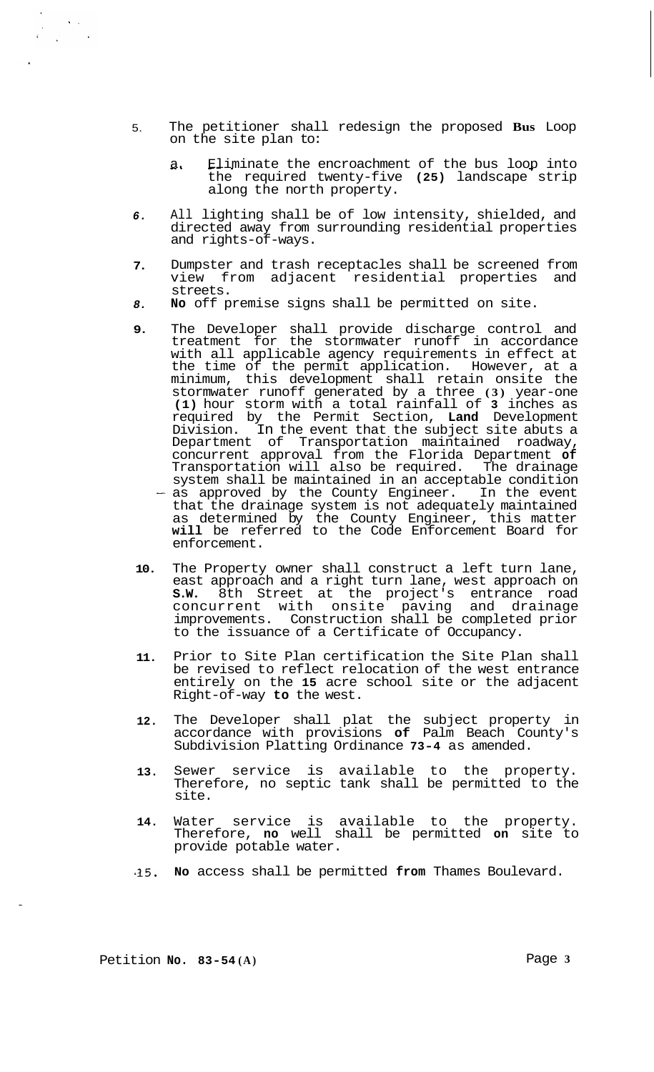- 5. The petitioner shall redesign the proposed **Bus** Loop on the site plan to:
	- a. Eliminate the encroachment of the bus loop into the required twenty-five **(25)** landscape strip along the north property.
- *6.*  All lighting shall be of low intensity, shielded, and directed away from surrounding residential properties and rights-of-ways.
- **7.**  Dumpster and trash receptacles shall be screened from view from adjacent residential properties and streets.
- *8.*  **No** off premise signs shall be permitted on site.
- **9.**  The Developer shall provide discharge control and treatment for the stormwater runoff in accordance with all applicable agency requirements in effect at the time of the permit application. However, at a minimum, this development shall retain onsite the stormwater runoff generated by a three **(3)** year-one **(1)** hour storm with a total rainfall of **3** inches as required by the Permit Section, **Land** Development Division. In the event that the subject site abuts a Department of Transportation maintained roadway, concurrent approval from the Florida Department **of**  Transportation will also be required. The drainage system shall be maintained in an acceptable condition as approved by the County Engineer. In the event that the drainage system is not adequately maintained as determined by the County Engineer, this matter **will** be referred to the Code Enforcement Board for enforcement.
- **10.**  The Property owner shall construct a left turn lane, east approach and a right turn lane, west approach on **S.W.** 8th Street at the project's entrance road concurrent with onsite paving and drainage improvements. Construction shall be completed prior to the issuance of a Certificate of Occupancy.
- **11.**  Prior to Site Plan certification the Site Plan shall be revised to reflect relocation of the west entrance entirely on the **15** acre school site or the adjacent Right-of-way **to** the west.
- **12.**  The Developer shall plat the subject property in accordance with provisions **of** Palm Beach County's Subdivision Platting Ordinance **73-4** as amended.
- **13.**  Sewer service is available to the property. Therefore, no septic tank shall be permitted to the site.
- **14.**  Water service is available to the property. Therefore, **no** well shall be permitted **on** site to provide potable water.
- *.25,*  **No** access shall be permitted **from** Thames Boulevard.